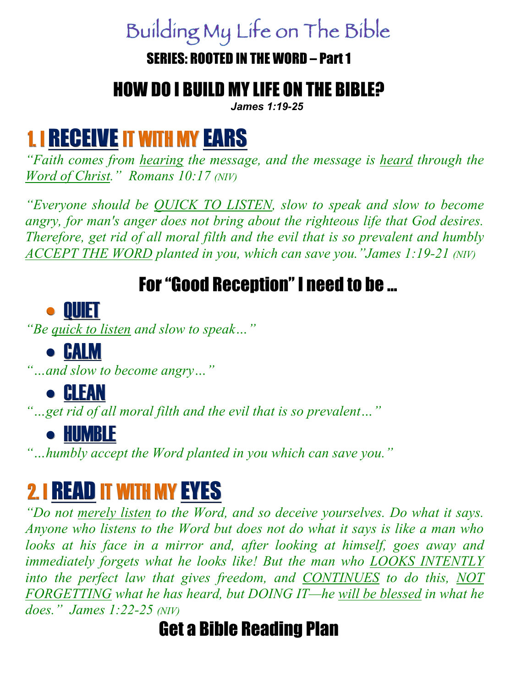# Building My Life on The Bible

#### SERIES: ROOTED IN THE WORD – Part 1

#### HOW DO I BUILD MY LIFE ON THE BIBLE?

*James 1:19-25*

# 1. I RECEIVE IT WITH MY EARS

*"Faith comes from hearing the message, and the message is heard through the Word of Christ." Romans 10:17 (NIV)* 

*"Everyone should be QUICK TO LISTEN, slow to speak and slow to become angry, for man's anger does not bring about the righteous life that God desires. Therefore, get rid of all moral filth and the evil that is so prevalent and humbly ACCEPT THE WORD planted in you, which can save you."James 1:19-21 (NIV)*

#### For "Good Reception" I need to be …

#### • QUIET

*"Be quick to listen and slow to speak…"* 

#### • CALM

*"…and slow to become angry…"* 

## • CLEAN

*"…get rid of all moral filth and the evil that is so prevalent…"*

#### • HUMBLE

*"…humbly accept the Word planted in you which can save you."* 

# 2. I READ IT WITH MY EYES

*"Do not merely listen to the Word, and so deceive yourselves. Do what it says. Anyone who listens to the Word but does not do what it says is like a man who looks at his face in a mirror and, after looking at himself, goes away and immediately forgets what he looks like! But the man who LOOKS INTENTLY into the perfect law that gives freedom, and CONTINUES to do this, NOT FORGETTING what he has heard, but DOING IT—he will be blessed in what he does." James 1:22-25 (NIV)*

#### Get a Bible Reading Plan